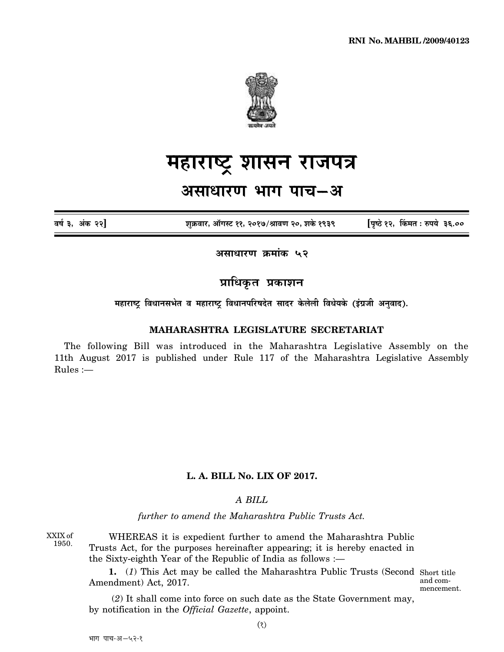

# <u>महाराष्ट्र</u> शासन राजपत्र

# असाधारण भाग पाच–अ

**´É¹ÉÇ 3, +ÆEòú 22] ¶ÉÖGò´ÉÉ®ú, +ÉìMɺ]õ 11, 2017/¸ÉÉ´ÉhÉ 20, ¶ÉEäò 1939 [{ÉÞ¹`äö 12, ËEò¨ÉiÉ : ¯û{ɪÉä 36.00**

असाधारण क्रमांक **५२** 

**प्राधिकृत प्रकाशन** 

महाराष्ट्र विधानसभेत व महाराष्ट्र विधानपरिषदेत सादर केलेली विधेयके (इंग्रजी अनुवाद).

#### **MAHARASHTRA LEGISLATURE SECRETARIAT**

The following Bill was introduced in the Maharashtra Legislative Assembly on the 11th August 2017 is published under Rule 117 of the Maharashtra Legislative Assembly Rules :—

## **L. A. BILL No. LIX OF 2017.**

### *A BILL*

*further to amend the Maharashtra Public Trusts Act.*

XXIX of 1950.

WHEREAS it is expedient further to amend the Maharashtra Public Trusts Act, for the purposes hereinafter appearing; it is hereby enacted in the Sixty-eighth Year of the Republic of India as follows :—

**1.** (*1*) This Act may be called the Maharashtra Public Trusts (Second Short title Amendment) Act, 2017.

and commencement.

 (*2*) It shall come into force on such date as the State Government may, by notification in the *Official Gazette*, appoint.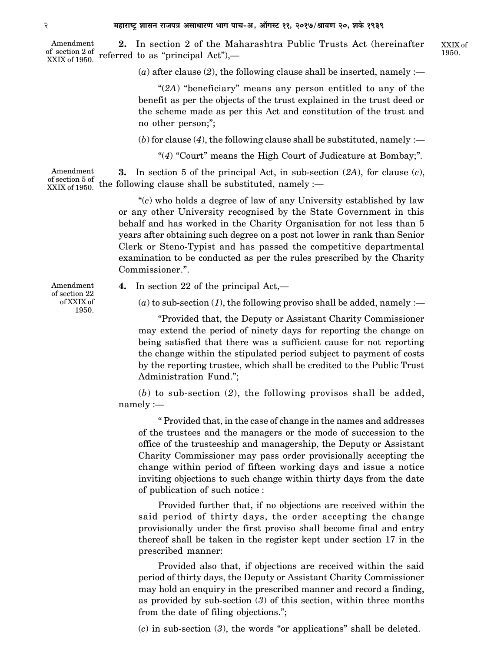**2.** In section 2 of the Maharashtra Public Trusts Act (hereinafter referred to as "principal Act"),— Amendment of section 2 of XXIX of 1950.

 $(a)$  after clause  $(2)$ , the following clause shall be inserted, namely :—

"(*2A*) "beneficiary" means any person entitled to any of the benefit as per the objects of the trust explained in the trust deed or the scheme made as per this Act and constitution of the trust and no other person;";

 $(b)$  for clause  $(4)$ , the following clause shall be substituted, namely :—

"(*4*) "Court" means the High Court of Judicature at Bombay;".

**3.** In section 5 of the principal Act, in sub-section (*2A*), for clause (*c*), the following clause shall be substituted, namely :— Amendment of section 5 of XXIX of 1950.

> "(*c*) who holds a degree of law of any University established by law or any other University recognised by the State Government in this behalf and has worked in the Charity Organisation for not less than 5 years after obtaining such degree on a post not lower in rank than Senior Clerk or Steno-Typist and has passed the competitive departmental examination to be conducted as per the rules prescribed by the Charity Commissioner.".

Amendment of section 22 of XXIX of 1950.

**4.** In section 22 of the principal Act,—

 $(a)$  to sub-section  $(1)$ , the following proviso shall be added, namely :—

"Provided that, the Deputy or Assistant Charity Commissioner may extend the period of ninety days for reporting the change on being satisfied that there was a sufficient cause for not reporting the change within the stipulated period subject to payment of costs by the reporting trustee, which shall be credited to the Public Trust Administration Fund.";

(*b*) to sub-section (*2*), the following provisos shall be added, namely :—

" Provided that, in the case of change in the names and addresses of the trustees and the managers or the mode of succession to the office of the trusteeship and managership, the Deputy or Assistant Charity Commissioner may pass order provisionally accepting the change within period of fifteen working days and issue a notice inviting objections to such change within thirty days from the date of publication of such notice :

Provided further that, if no objections are received within the said period of thirty days, the order accepting the change provisionally under the first proviso shall become final and entry thereof shall be taken in the register kept under section 17 in the prescribed manner:

Provided also that, if objections are received within the said period of thirty days, the Deputy or Assistant Charity Commissioner may hold an enquiry in the prescribed manner and record a finding, as provided by sub-section (*3*) of this section, within three months from the date of filing objections.";

(*c*) in sub-section (*3*), the words "or applications" shall be deleted.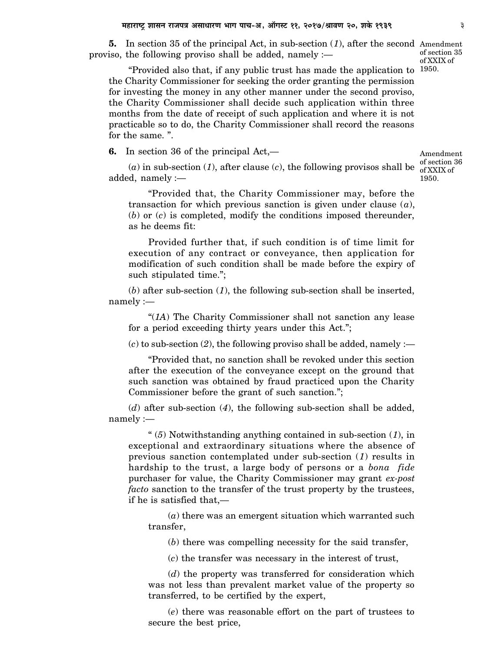**5.** In section 35 of the principal Act, in sub-section (*1*), after the second Amendment proviso, the following proviso shall be added, namely :—

"Provided also that, if any public trust has made the application to 1950. the Charity Commissioner for seeking the order granting the permission for investing the money in any other manner under the second proviso, the Charity Commissioner shall decide such application within three months from the date of receipt of such application and where it is not practicable so to do, the Charity Commissioner shall record the reasons for the same. ".

**6.** In section 36 of the principal Act,—

(*a*) in sub-section (*1*), after clause (*c*), the following provisos shall be  $\frac{d}{dx}$  of XXIX of added, namely :—

"Provided that, the Charity Commissioner may, before the transaction for which previous sanction is given under clause (*a*), (*b*) or (*c*) is completed, modify the conditions imposed thereunder, as he deems fit:

Provided further that, if such condition is of time limit for execution of any contract or conveyance, then application for modification of such condition shall be made before the expiry of such stipulated time.";

(*b*) after sub-section (*1*), the following sub-section shall be inserted, namely :—

"(*1A*) The Charity Commissioner shall not sanction any lease for a period exceeding thirty years under this Act.";

 $(c)$  to sub-section  $(2)$ , the following proviso shall be added, namely :—

"Provided that, no sanction shall be revoked under this section after the execution of the conveyance except on the ground that such sanction was obtained by fraud practiced upon the Charity Commissioner before the grant of such sanction.";

(*d*) after sub-section (*4*), the following sub-section shall be added, namely :—

" (*5*) Notwithstanding anything contained in sub-section (*1*), in exceptional and extraordinary situations where the absence of previous sanction contemplated under sub-section (*1*) results in hardship to the trust, a large body of persons or a *bona fide* purchaser for value, the Charity Commissioner may grant *ex-post facto* sanction to the transfer of the trust property by the trustees, if he is satisfied that,—

(*a*) there was an emergent situation which warranted such transfer,

(*b*) there was compelling necessity for the said transfer,

(*c*) the transfer was necessary in the interest of trust,

(*d*) the property was transferred for consideration which was not less than prevalent market value of the property so transferred, to be certified by the expert,

(*e*) there was reasonable effort on the part of trustees to secure the best price,

Amendment of section 36 1950.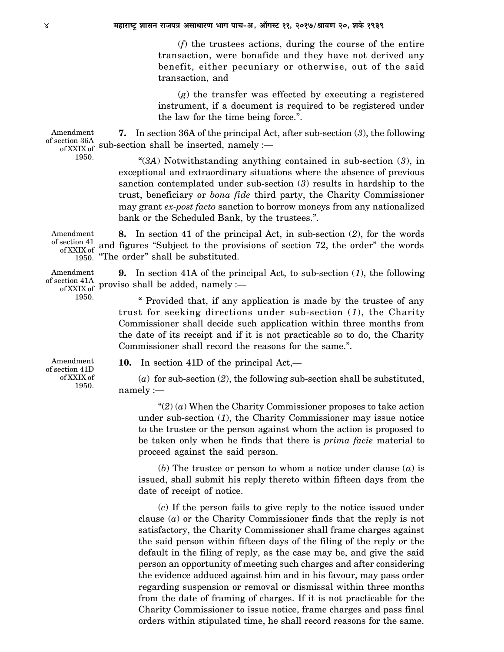(*f*) the trustees actions, during the course of the entire transaction, were bonafide and they have not derived any benefit, either pecuniary or otherwise, out of the said transaction, and

(*g*) the transfer was effected by executing a registered instrument, if a document is required to be registered under the law for the time being force.".

**7.** In section 36A of the principal Act, after sub-section (*3*), the following sub-section shall be inserted, namely :— Amendment of section 36A of XXIX of

1950.

"(*3A*) Notwithstanding anything contained in sub-section (*3*), in exceptional and extraordinary situations where the absence of previous sanction contemplated under sub-section (*3*) results in hardship to the trust, beneficiary or *bona fide* third party, the Charity Commissioner may grant *ex-post facto* sanction to borrow moneys from any nationalized bank or the Scheduled Bank, by the trustees.".

**8.** In section 41 of the principal Act, in sub-section (*2*), for the words and figures "Subject to the provisions of section 72, the order" the words "The order" shall be substituted. Amendment of section 41 of XXIX of 1950.

**9.** In section 41A of the principal Act, to sub-section (*1*), the following of section 41A proviso shall be added, namely : of XXIX of P<sup>10</sup>

> " Provided that, if any application is made by the trustee of any trust for seeking directions under sub-section (*1*), the Charity Commissioner shall decide such application within three months from the date of its receipt and if it is not practicable so to do, the Charity Commissioner shall record the reasons for the same.".

Amendment of section 41D of XXIX of 1950.

Amendment

1950.

**10.** In section 41D of the principal Act,—

(*a*) for sub-section (*2*), the following sub-section shall be substituted, namely :—

" $(2)$  (*a*) When the Charity Commissioner proposes to take action under sub-section (*1*), the Charity Commissioner may issue notice to the trustee or the person against whom the action is proposed to be taken only when he finds that there is *prima facie* material to proceed against the said person.

(*b*) The trustee or person to whom a notice under clause (*a*) is issued, shall submit his reply thereto within fifteen days from the date of receipt of notice.

(*c*) If the person fails to give reply to the notice issued under clause (*a*) or the Charity Commissioner finds that the reply is not satisfactory, the Charity Commissioner shall frame charges against the said person within fifteen days of the filing of the reply or the default in the filing of reply, as the case may be, and give the said person an opportunity of meeting such charges and after considering the evidence adduced against him and in his favour, may pass order regarding suspension or removal or dismissal within three months from the date of framing of charges. If it is not practicable for the Charity Commissioner to issue notice, frame charges and pass final orders within stipulated time, he shall record reasons for the same.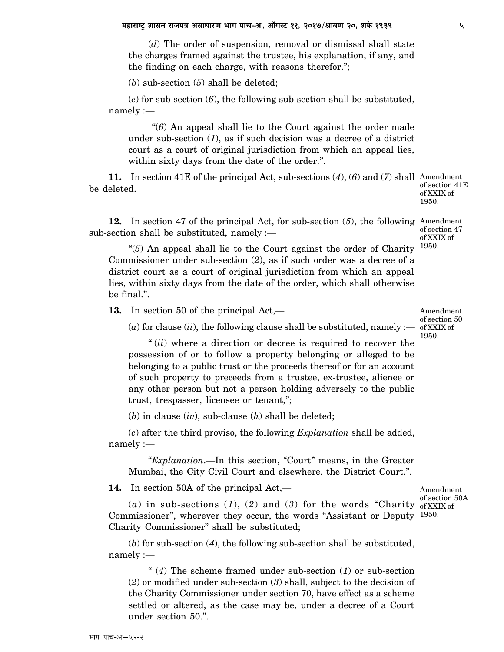(*d*) The order of suspension, removal or dismissal shall state the charges framed against the trustee, his explanation, if any, and the finding on each charge, with reasons therefor.";

(*b*) sub-section (*5*) shall be deleted;

(*c*) for sub-section (*6*), the following sub-section shall be substituted, namely :—

 "(*6*) An appeal shall lie to the Court against the order made under sub-section (*1*), as if such decision was a decree of a district court as a court of original jurisdiction from which an appeal lies, within sixty days from the date of the order.".

**11.** In section 41E of the principal Act, sub-sections (*4*), (*6*) and (*7*) shall Amendment be deleted.

of section 41E of XXIX of 1950.

of section 47 of XXIX of 1950.

**12.** In section 47 of the principal Act, for sub-section (*5*), the following Amendment sub-section shall be substituted, namely :—

"(*5*) An appeal shall lie to the Court against the order of Charity Commissioner under sub-section (*2*), as if such order was a decree of a district court as a court of original jurisdiction from which an appeal lies, within sixty days from the date of the order, which shall otherwise be final.".

**13.** In section 50 of the principal Act,—

 $(a)$  for clause  $(ii)$ , the following clause shall be substituted, namely  $:$ — of XXIX of

" (*ii*) where a direction or decree is required to recover the possession of or to follow a property belonging or alleged to be belonging to a public trust or the proceeds thereof or for an account of such property to preceeds from a trustee, ex-trustee, alienee or any other person but not a person holding adversely to the public trust, trespasser, licensee or tenant,";

(*b*) in clause (*iv*), sub-clause (*h*) shall be deleted;

(*c*) after the third proviso, the following *Explanation* shall be added, namely :—

"*Explanation*.—In this section, "Court" means, in the Greater Mumbai, the City Civil Court and elsewhere, the District Court.".

**14.** In section 50A of the principal Act,—

(*a*) in sub-sections (*1*), (*2*) and (*3*) for the words "Charity of XXIX of Commissioner", wherever they occur, the words "Assistant or Deputy 1950. Charity Commissioner" shall be substituted; of section 50A

(*b*) for sub-section (*4*), the following sub-section shall be substituted, namely :—

" (*4*) The scheme framed under sub-section (*1*) or sub-section (*2*) or modified under sub-section (*3*) shall, subject to the decision of the Charity Commissioner under section 70, have effect as a scheme settled or altered, as the case may be, under a decree of a Court under section 50.".

Amendment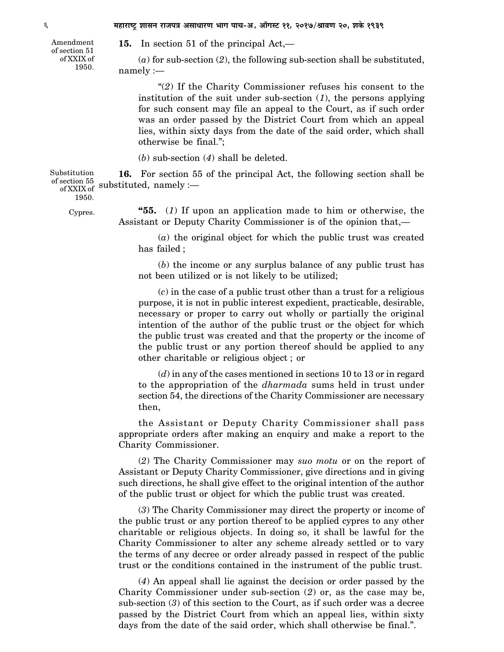Amendment of section 51 of XXIX of 1950.

**15.** In section 51 of the principal Act,—

(*a*) for sub-section (*2*), the following sub-section shall be substituted, namely :—

"(*2*) If the Charity Commissioner refuses his consent to the institution of the suit under sub-section (*1*), the persons applying for such consent may file an appeal to the Court, as if such order was an order passed by the District Court from which an appeal lies, within sixty days from the date of the said order, which shall otherwise be final.";

(*b*) sub-section (*4*) shall be deleted.

**16.** For section 55 of the principal Act, the following section shall be of section 55 substituted, namely :— Substitution<br>of section 55 of XXIX of  $\cdot$ <sup>5 UL</sup>

1950.

Cypres.

**"55.** (*1*) If upon an application made to him or otherwise, the Assistant or Deputy Charity Commissioner is of the opinion that,—

(*a*) the original object for which the public trust was created has failed ;

(*b*) the income or any surplus balance of any public trust has not been utilized or is not likely to be utilized;

(*c*) in the case of a public trust other than a trust for a religious purpose, it is not in public interest expedient, practicable, desirable, necessary or proper to carry out wholly or partially the original intention of the author of the public trust or the object for which the public trust was created and that the property or the income of the public trust or any portion thereof should be applied to any other charitable or religious object ; or

(*d*) in any of the cases mentioned in sections 10 to 13 or in regard to the appropriation of the *dharmada* sums held in trust under section 54, the directions of the Charity Commissioner are necessary then,

the Assistant or Deputy Charity Commissioner shall pass appropriate orders after making an enquiry and make a report to the Charity Commissioner.

(*2*) The Charity Commissioner may *suo motu* or on the report of Assistant or Deputy Charity Commissioner, give directions and in giving such directions, he shall give effect to the original intention of the author of the public trust or object for which the public trust was created.

(*3*) The Charity Commissioner may direct the property or income of the public trust or any portion thereof to be applied cypres to any other charitable or religious objects. In doing so, it shall be lawful for the Charity Commissioner to alter any scheme already settled or to vary the terms of any decree or order already passed in respect of the public trust or the conditions contained in the instrument of the public trust.

(*4*) An appeal shall lie against the decision or order passed by the Charity Commissioner under sub-section (*2*) or, as the case may be, sub-section (*3*) of this section to the Court, as if such order was a decree passed by the District Court from which an appeal lies, within sixty days from the date of the said order, which shall otherwise be final.".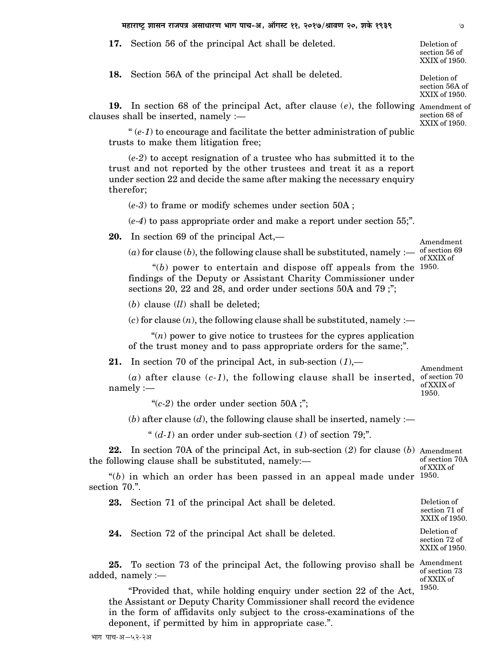**17.** Section 56 of the principal Act shall be deleted.

**18.** Section 56A of the principal Act shall be deleted.

**19.** In section 68 of the principal Act, after clause (*e*), the following Amendment of clauses shall be inserted, namely :—

" $(e-1)$  to encourage and facilitate the better administration of public trusts to make them litigation free;

(*e-2*) to accept resignation of a trustee who has submitted it to the trust and not reported by the other trustees and treat it as a report under section 22 and decide the same after making the necessary enquiry therefor;

(*e-3*) to frame or modify schemes under section 50A ;

(*e-4*) to pass appropriate order and make a report under section 55;".

**20.** In section 69 of the principal Act,—

(*a*) for clause (*b*), the following clause shall be substituted, namely :—

 "(*b*) power to entertain and dispose off appeals from the 1950. findings of the Deputy or Assistant Charity Commissioner under sections 20, 22 and 28, and order under sections 50A and 79 ;";

(*b*) clause (*ll*) shall be deleted;

 $(c)$  for clause  $(n)$ , the following clause shall be substituted, namely :—

 "(*n*) power to give notice to trustees for the cypres application of the trust money and to pass appropriate orders for the same;".

**21.** In section 70 of the principal Act, in sub-section (*1*),—

(*a*) after clause (*c-1*), the following clause shall be inserted, of section 70 namely : of XXIX of 1950.

" $(c-2)$  the order under section 50A;";

 $(b)$  after clause  $(d)$ , the following clause shall be inserted, namely :—

"  $(d-1)$  an order under sub-section  $(1)$  of section 79;".

**22.** In section 70A of the principal Act, in sub-section (*2*) for clause (*b*) Amendment the following clause shall be substituted, namely: of section 70A of XXIX of

"(*b*) in which an order has been passed in an appeal made under 1950. section 70.".

**23.** Section 71 of the principal Act shall be deleted.

**24.** Section 72 of the principal Act shall be deleted.

25. To section 73 of the principal Act, the following proviso shall be Amendment added, namely :—

of section 73 of XXIX of 1950.

Deletion of section 71 of XXIX of 1950. Deletion of section 72 of XXIX of 1950.

"Provided that, while holding enquiry under section 22 of the Act, the Assistant or Deputy Charity Commissioner shall record the evidence in the form of affidavits only subject to the cross-examinations of the deponent, if permitted by him in appropriate case.".

Deletion of section 56 of XXIX of 1950.

Deletion of section 56A of XXIX of 1950.

section 68 of XXIX of 1950.

Amendment of section 69 of XXIX of

Amendment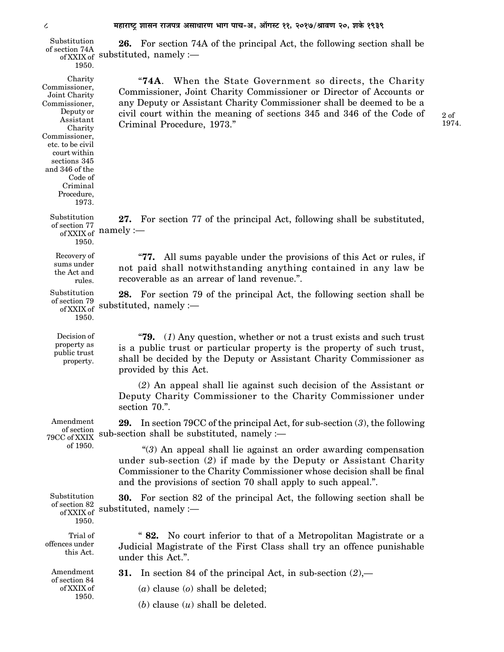**26.** For section 74A of the principal Act, the following section shall be of section 74A **EXAMPLE 1** of section 74A "**74A**. When the State Government so directs, the Charity Commissioner, Joint Charity Commissioner or Director of Accounts or any Deputy or Assistant Charity Commissioner shall be deemed to be a civil court within the meaning of sections 345 and 346 of the Code of Criminal Procedure, 1973." **27.** For section 77 of the principal Act, following shall be substituted, of section 77  $\frac{1}{100}$  :— "**77.** All sums payable under the provisions of this Act or rules, if not paid shall notwithstanding anything contained in any law be recoverable as an arrear of land revenue.". **28.** For section 79 of the principal Act, the following section shall be of section 79 substituted, namely :— "**79.** (*1*) Any question, whether or not a trust exists and such trust is a public trust or particular property is the property of such trust, shall be decided by the Deputy or Assistant Charity Commissioner as provided by this Act. (*2*) An appeal shall lie against such decision of the Assistant or Deputy Charity Commissioner to the Charity Commissioner under section 70.". **29.** In section 79CC of the principal Act, for sub-section (*3*), the following sub-section shall be substituted, namely :— "(*3*) An appeal shall lie against an order awarding compensation under sub-section (*2*) if made by the Deputy or Assistant Charity Commissioner to the Charity Commissioner whose decision shall be final and the provisions of section 70 shall apply to such appeal.". **30.** For section 82 of the principal Act, the following section shall be substituted, namely :— " **82.** No court inferior to that of a Metropolitan Magistrate or a Judicial Magistrate of the First Class shall try an offence punishable under this Act.". **31.** In section 84 of the principal Act, in sub-section (*2*),— (*a*) clause (*o*) shall be deleted; Charity Commissioner, Joint Charity Commissioner, Deputy or Assistant Charity Commissioner, etc. to be civil court within sections 345 and 346 of the Code of Criminal Procedure, 1973. Substitution of XXIX of sul 1950. Substitution of XXIX of Hal 1950. Recovery of sums under the Act and rules. Substitution of XXIX of  $\,$ <sup>5 UL</sup> 1950. Decision of property as public trust property. Trial of offences under this Act. Amendment of section 79CC of XXIX of 1950. Substitution of section 82 of XXIX of 1950. Amendment of section 84 of XXIX of 1950. 2 of 1974.

(*b*) clause (*u*) shall be deleted.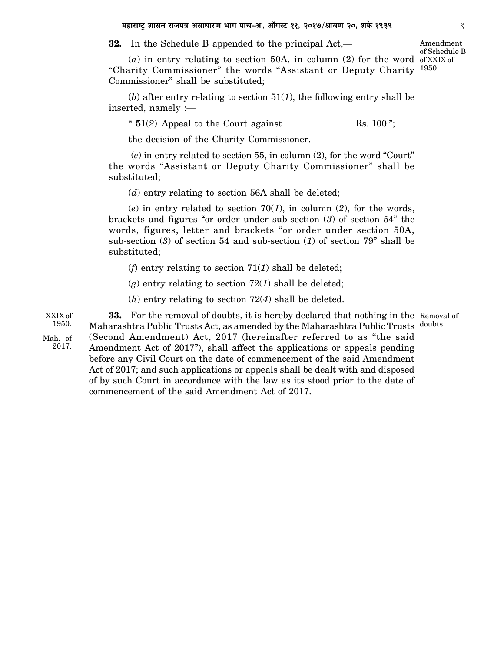**32.** In the Schedule B appended to the principal Act,—

(*a*) in entry relating to section 50A, in column (2) for the word of XXIX of "Charity Commissioner" the words "Assistant or Deputy Charity 1950. Commissioner" shall be substituted; of Schedule B

 $(b)$  after entry relating to section  $51(1)$ , the following entry shall be inserted, namely :—

"  $51(2)$  Appeal to the Court against Rs. 100";

the decision of the Charity Commissioner.

 (*c*) in entry related to section 55, in column (2), for the word "Court" the words "Assistant or Deputy Charity Commissioner" shall be substituted;

(*d*) entry relating to section 56A shall be deleted;

(*e*) in entry related to section 70(*1*), in column (*2*), for the words, brackets and figures "or order under sub-section (*3*) of section 54" the words, figures, letter and brackets "or order under section 50A, sub-section (*3*) of section 54 and sub-section (*1*) of section 79" shall be substituted;

(*f*) entry relating to section 71(*1*) shall be deleted;

 $(g)$  entry relating to section 72(1) shall be deleted;

(*h*) entry relating to section 72(*4*) shall be deleted.

**33.** For the removal of doubts, it is hereby declared that nothing in the Removal of Maharashtra Public Trusts Act, as amended by the Maharashtra Public Trusts doubts. (Second Amendment) Act, 2017 (hereinafter referred to as "the said Amendment Act of 2017"), shall affect the applications or appeals pending before any Civil Court on the date of commencement of the said Amendment Act of 2017; and such applications or appeals shall be dealt with and disposed of by such Court in accordance with the law as its stood prior to the date of commencement of the said Amendment Act of 2017. 1950. Mah. of 2017.

Amendment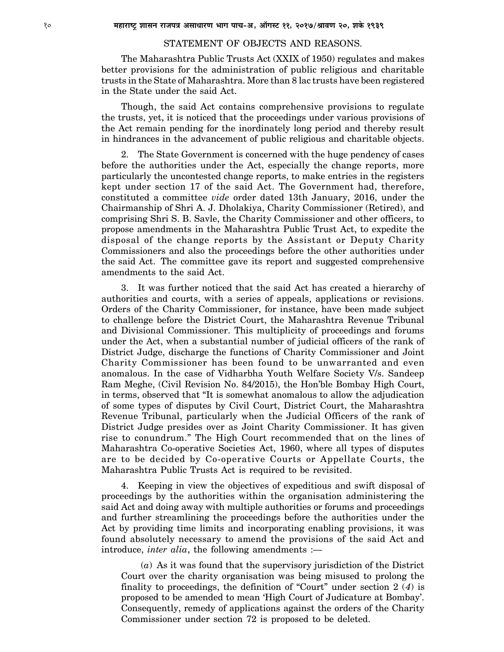#### STATEMENT OF OBJECTS AND REASONS.

The Maharashtra Public Trusts Act (XXIX of 1950) regulates and makes better provisions for the administration of public religious and charitable trusts in the State of Maharashtra. More than 8 lac trusts have been registered in the State under the said Act.

Though, the said Act contains comprehensive provisions to regulate the trusts, yet, it is noticed that the proceedings under various provisions of the Act remain pending for the inordinately long period and thereby result in hindrances in the advancement of public religious and charitable objects.

2. The State Government is concerned with the huge pendency of cases before the authorities under the Act, especially the change reports, more particularly the uncontested change reports, to make entries in the registers kept under section 17 of the said Act. The Government had, therefore, constituted a committee *vide* order dated 13th January, 2016, under the Chairmanship of Shri A. J. Dholakiya, Charity Commissioner (Retired), and comprising Shri S. B. Savle, the Charity Commissioner and other officers, to propose amendments in the Maharashtra Public Trust Act, to expedite the disposal of the change reports by the Assistant or Deputy Charity Commissioners and also the proceedings before the other authorities under the said Act. The committee gave its report and suggested comprehensive amendments to the said Act.

3. It was further noticed that the said Act has created a hierarchy of authorities and courts, with a series of appeals, applications or revisions. Orders of the Charity Commissioner, for instance, have been made subject to challenge before the District Court, the Maharashtra Revenue Tribunal and Divisional Commissioner. This multiplicity of proceedings and forums under the Act, when a substantial number of judicial officers of the rank of District Judge, discharge the functions of Charity Commissioner and Joint Charity Commissioner has been found to be unwarranted and even anomalous. In the case of Vidharbha Youth Welfare Society V/s. Sandeep Ram Meghe, (Civil Revision No. 84/2015), the Hon'ble Bombay High Court, in terms, observed that "It is somewhat anomalous to allow the adjudication of some types of disputes by Civil Court, District Court, the Maharashtra Revenue Tribunal, particularly when the Judicial Officers of the rank of District Judge presides over as Joint Charity Commissioner. It has given rise to conundrum." The High Court recommended that on the lines of Maharashtra Co-operative Societies Act, 1960, where all types of disputes are to be decided by Co-operative Courts or Appellate Courts, the Maharashtra Public Trusts Act is required to be revisited.

4. Keeping in view the objectives of expeditious and swift disposal of proceedings by the authorities within the organisation administering the said Act and doing away with multiple authorities or forums and proceedings and further streamlining the proceedings before the authorities under the Act by providing time limits and incorporating enabling provisions, it was found absolutely necessary to amend the provisions of the said Act and introduce, *inter alia*, the following amendments :—

(*a*) As it was found that the supervisory jurisdiction of the District Court over the charity organisation was being misused to prolong the finality to proceedings, the definition of "Court" under section 2 (*4*) is proposed to be amended to mean 'High Court of Judicature at Bombay'. Consequently, remedy of applications against the orders of the Charity Commissioner under section 72 is proposed to be deleted.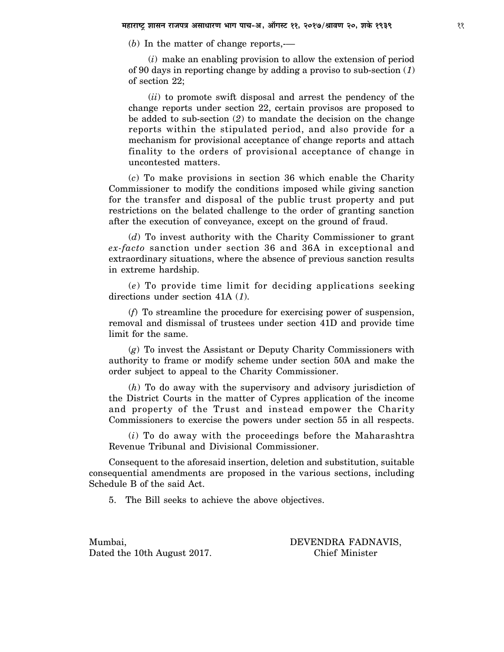(*b*) In the matter of change reports,-—

(*i*) make an enabling provision to allow the extension of period of 90 days in reporting change by adding a proviso to sub-section (*1*) of section 22;

(*ii*) to promote swift disposal and arrest the pendency of the change reports under section 22, certain provisos are proposed to be added to sub-section (*2*) to mandate the decision on the change reports within the stipulated period, and also provide for a mechanism for provisional acceptance of change reports and attach finality to the orders of provisional acceptance of change in uncontested matters.

(*c*) To make provisions in section 36 which enable the Charity Commissioner to modify the conditions imposed while giving sanction for the transfer and disposal of the public trust property and put restrictions on the belated challenge to the order of granting sanction after the execution of conveyance, except on the ground of fraud.

(*d*) To invest authority with the Charity Commissioner to grant *ex-facto* sanction under section 36 and 36A in exceptional and extraordinary situations, where the absence of previous sanction results in extreme hardship.

(*e*) To provide time limit for deciding applications seeking directions under section 41A (*1*).

(*f*) To streamline the procedure for exercising power of suspension, removal and dismissal of trustees under section 41D and provide time limit for the same.

(*g*) To invest the Assistant or Deputy Charity Commissioners with authority to frame or modify scheme under section 50A and make the order subject to appeal to the Charity Commissioner.

(*h*) To do away with the supervisory and advisory jurisdiction of the District Courts in the matter of Cypres application of the income and property of the Trust and instead empower the Charity Commissioners to exercise the powers under section 55 in all respects.

(*i*) To do away with the proceedings before the Maharashtra Revenue Tribunal and Divisional Commissioner.

Consequent to the aforesaid insertion, deletion and substitution, suitable consequential amendments are proposed in the various sections, including Schedule B of the said Act.

5. The Bill seeks to achieve the above objectives.

Dated the 10th August 2017. Chief Minister

Mumbai, DEVENDRA FADNAVIS,